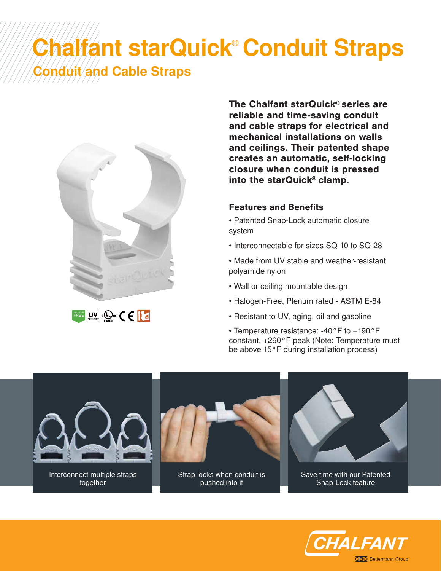## Chalfant starQuick<sup>®</sup> Conduit Straps duit and Cable Straps



HALOGEN FREE

together

The Chalfant starQuick® series are reliable and time-saving conduit and cable straps for electrical and mechanical installations on walls and ceilings. Their patented shape creates an automatic, self-locking closure when conduit is pressed into the starQuick® clamp.

## Features and Benefits

- Patented Snap-Lock automatic closure system
- Interconnectable for sizes SQ-10 to SQ-28
- Made from UV stable and weather-resistant polyamide nylon
- Wall or ceiling mountable design
- Halogen-Free, Plenum rated ASTM E-84
- Resistant to UV, aging, oil and gasoline
- Temperature resistance: -40°F to +190°F constant, +260°F peak (Note: Temperature must be above 15°F during installation process)



pushed into it

Save time with our Patented Snap-Lock feature